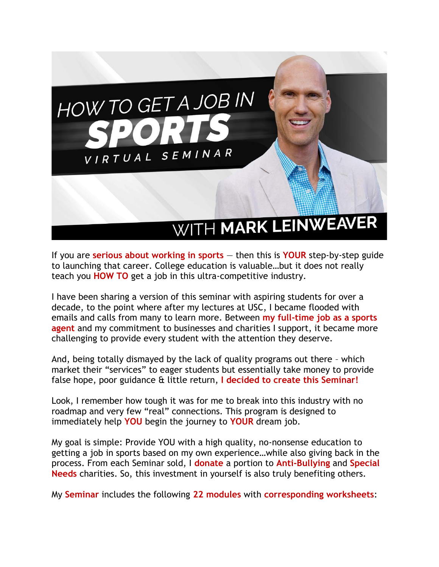

If you are **serious about working in sports** — then this is **YOUR** step-by-step guide to launching that career. College education is valuable…but it does not really teach you **HOW TO** get a job in this ultra-competitive industry.

I have been sharing a version of this seminar with aspiring students for over a decade, to the point where after my lectures at USC, I became flooded with emails and calls from many to learn more. Between **my full-time job as a sports agent** and my commitment to businesses and charities I support, it became more challenging to provide every student with the attention they deserve.

And, being totally dismayed by the lack of quality programs out there – which market their "services" to eager students but essentially take money to provide false hope, poor guidance & little return, **I decided to create this Seminar!**

Look, I remember how tough it was for me to break into this industry with no roadmap and very few "real" connections. This program is designed to immediately help **YOU** begin the journey to **YOUR** dream job.

My goal is simple: Provide YOU with a high quality, no-nonsense education to getting a job in sports based on my own experience…while also giving back in the process. From each Seminar sold, I **donate** a portion to **Anti-Bullying** and **Special Needs** charities. So, this investment in yourself is also truly benefiting others.

My **Seminar** includes the following **22 modules** with **corresponding worksheets**: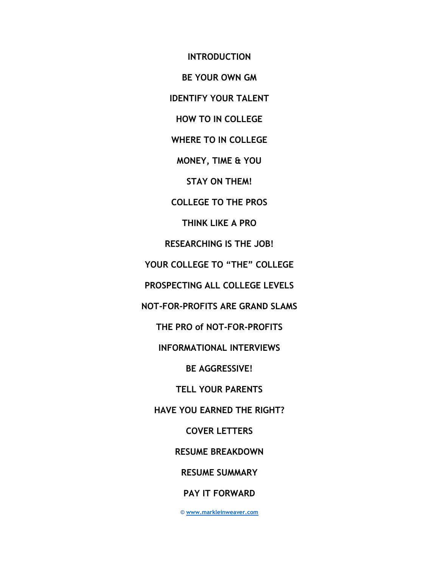**INTRODUCTION BE YOUR OWN GM IDENTIFY YOUR TALENT HOW TO IN COLLEGE WHERE TO IN COLLEGE MONEY, TIME & YOU STAY ON THEM! COLLEGE TO THE PROS THINK LIKE A PRO RESEARCHING IS THE JOB! YOUR COLLEGE TO "THE" COLLEGE PROSPECTING ALL COLLEGE LEVELS NOT-FOR-PROFITS ARE GRAND SLAMS THE PRO of NOT-FOR-PROFITS INFORMATIONAL INTERVIEWS BE AGGRESSIVE! TELL YOUR PARENTS HAVE YOU EARNED THE RIGHT? COVER LETTERS RESUME BREAKDOWN RESUME SUMMARY PAY IT FORWARD**

**© [www.markleinweaver.com](http://www.markleinweaver.com/)**